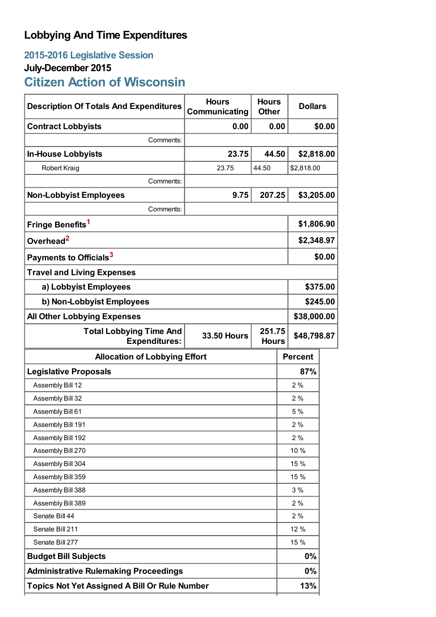## **Lobbying And Time Expenditures**

## **2015-2016 Legislative Session July-December 2015**

# **Citizen Action of Wisconsin**

| <b>Description Of Totals And Expenditures</b>          | <b>Hours</b><br>Communicating | <b>Hours</b><br><b>Other</b> |    | <b>Dollars</b> |  |  |
|--------------------------------------------------------|-------------------------------|------------------------------|----|----------------|--|--|
| <b>Contract Lobbyists</b>                              | 0.00                          | 0.00                         |    | \$0.00         |  |  |
| Comments:                                              |                               |                              |    |                |  |  |
| <b>In-House Lobbyists</b>                              | 23.75                         | 44.50                        |    | \$2,818.00     |  |  |
| Robert Kraig                                           | 23.75                         | 44.50                        |    | \$2,818.00     |  |  |
| Comments:                                              |                               |                              |    |                |  |  |
| <b>Non-Lobbyist Employees</b>                          | 9.75                          | 207.25                       |    | \$3,205.00     |  |  |
| Comments:                                              |                               |                              |    |                |  |  |
| Fringe Benefits <sup>1</sup>                           |                               |                              |    | \$1,806.90     |  |  |
| Overhead <sup>2</sup>                                  |                               |                              |    | \$2,348.97     |  |  |
| Payments to Officials <sup>3</sup>                     |                               |                              |    | \$0.00         |  |  |
| <b>Travel and Living Expenses</b>                      |                               |                              |    |                |  |  |
| a) Lobbyist Employees                                  |                               |                              |    | \$375.00       |  |  |
| b) Non-Lobbyist Employees                              |                               |                              |    | \$245.00       |  |  |
| <b>All Other Lobbying Expenses</b>                     |                               |                              |    | \$38,000.00    |  |  |
| <b>Total Lobbying Time And</b><br><b>Expenditures:</b> | <b>33.50 Hours</b>            | 251.75<br><b>Hours</b>       |    | \$48,798.87    |  |  |
| <b>Allocation of Lobbying Effort</b>                   |                               |                              |    | <b>Percent</b> |  |  |
| <b>Legislative Proposals</b>                           |                               |                              |    | 87%            |  |  |
| Assembly Bill 12                                       |                               |                              |    | 2%             |  |  |
| Assembly Bill 32                                       |                               |                              |    | 2%             |  |  |
| Assembly Bill 61                                       |                               |                              |    | 5%             |  |  |
| Assembly Bill 191                                      |                               |                              |    | 2%             |  |  |
| Assembly Bill 192                                      |                               |                              |    | 2%             |  |  |
| Assembly Bill 270                                      |                               |                              |    | 10 %           |  |  |
| Assembly Bill 304                                      |                               |                              |    | 15 %           |  |  |
| Assembly Bill 359                                      |                               |                              |    | 15 %           |  |  |
| Assembly Bill 388                                      |                               |                              |    | 3%             |  |  |
| Assembly Bill 389                                      |                               |                              |    | 2%             |  |  |
| Senate Bill 44                                         |                               |                              |    | 2%             |  |  |
| Senate Bill 211                                        |                               |                              |    | 12 %           |  |  |
| Senate Bill 277                                        |                               |                              |    | 15 %           |  |  |
| <b>Budget Bill Subjects</b>                            |                               |                              |    | $0\%$          |  |  |
| <b>Administrative Rulemaking Proceedings</b>           |                               |                              | 0% |                |  |  |
| <b>Topics Not Yet Assigned A Bill Or Rule Number</b>   |                               |                              |    | 13%            |  |  |